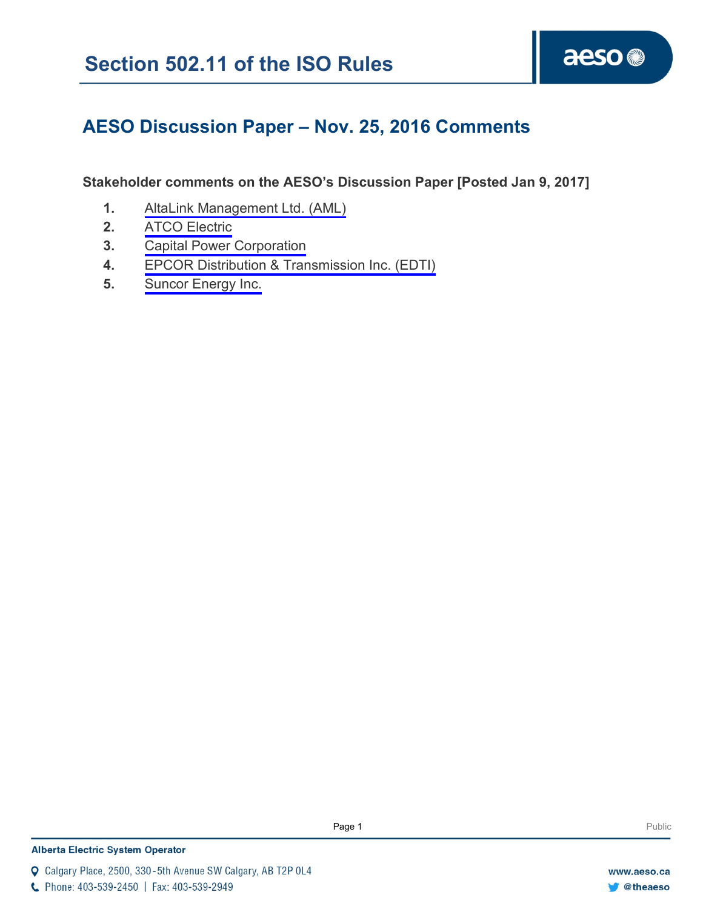# **AESO Discussion Paper – Nov. 25, 2016 Comments**

# **Stakeholder comments on the AESO's Discussion Paper [Posted Jan 9, 2017]**

- **1.** [AltaLink Management Ltd.](#page-1-0) (AML)
- **2.** [ATCO Electric](#page-9-0)
- **3.** [Capital Power Corporation](#page-10-0)
- **4.** [EPCOR Distribution & Transmission Inc. \(EDTI\)](#page-12-0)
- **5.** [Suncor Energy Inc.](#page-14-0)

## **Alberta Electric System Operator**

Q Calgary Place, 2500, 330-5th Avenue SW Calgary, AB T2P 0L4

C Phone: 403-539-2450 | Fax: 403-539-2949

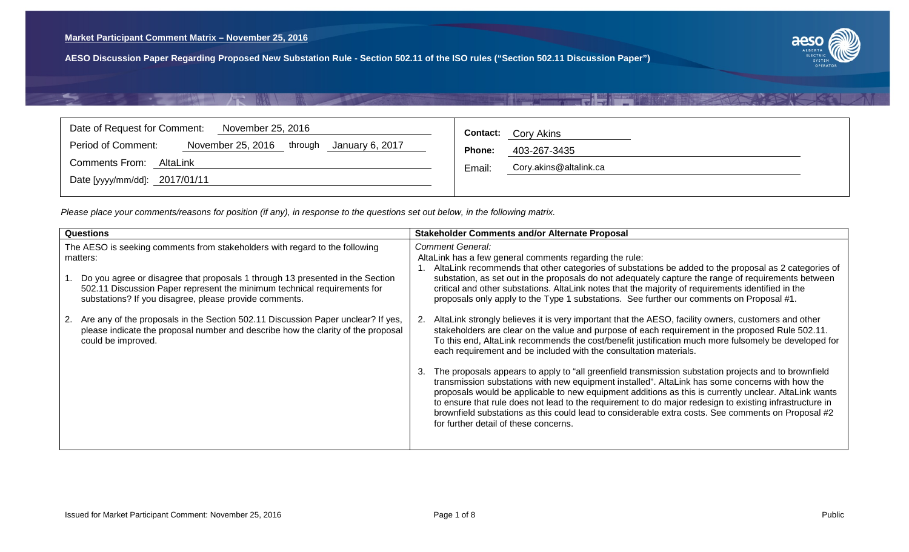$\mathcal{A}^{\text{RF}}$ 



### <span id="page-1-0"></span>Date of Request for Comment: November 25, 2016 Period of Comment: November 25, 2016 through January 6, 2017 Comments From: AltaLink Date [yyyy/mm/dd]: 2017/01/11 **Contact:** Cory Akins **Phone:** 403-267-3435 Email: Cory.akins@altalink.ca

| <b>Questions</b>                                                                                                                                                                                                    | <b>Stakeholder Comments and/or Alternate Proposal</b>                                                                                                                                                                                                                                                                                                                                                                                                                                                                                                                            |
|---------------------------------------------------------------------------------------------------------------------------------------------------------------------------------------------------------------------|----------------------------------------------------------------------------------------------------------------------------------------------------------------------------------------------------------------------------------------------------------------------------------------------------------------------------------------------------------------------------------------------------------------------------------------------------------------------------------------------------------------------------------------------------------------------------------|
| The AESO is seeking comments from stakeholders with regard to the following<br>matters:                                                                                                                             | <b>Comment General:</b><br>AltaLink has a few general comments regarding the rule:<br>AltaLink recommends that other categories of substations be added to the proposal as 2 categories of                                                                                                                                                                                                                                                                                                                                                                                       |
| Do you agree or disagree that proposals 1 through 13 presented in the Section<br>502.11 Discussion Paper represent the minimum technical requirements for<br>substations? If you disagree, please provide comments. | substation, as set out in the proposals do not adequately capture the range of requirements between<br>critical and other substations. AltaLink notes that the majority of requirements identified in the<br>proposals only apply to the Type 1 substations. See further our comments on Proposal #1.                                                                                                                                                                                                                                                                            |
| Are any of the proposals in the Section 502.11 Discussion Paper unclear? If yes,<br>2.<br>please indicate the proposal number and describe how the clarity of the proposal<br>could be improved.                    | AltaLink strongly believes it is very important that the AESO, facility owners, customers and other<br>stakeholders are clear on the value and purpose of each requirement in the proposed Rule 502.11.<br>To this end, AltaLink recommends the cost/benefit justification much more fulsomely be developed for<br>each requirement and be included with the consultation materials.                                                                                                                                                                                             |
|                                                                                                                                                                                                                     | The proposals appears to apply to "all greenfield transmission substation projects and to brownfield<br>3.<br>transmission substations with new equipment installed". AltaLink has some concerns with how the<br>proposals would be applicable to new equipment additions as this is currently unclear. AltaLink wants<br>to ensure that rule does not lead to the requirement to do major redesign to existing infrastructure in<br>brownfield substations as this could lead to considerable extra costs. See comments on Proposal #2<br>for further detail of these concerns. |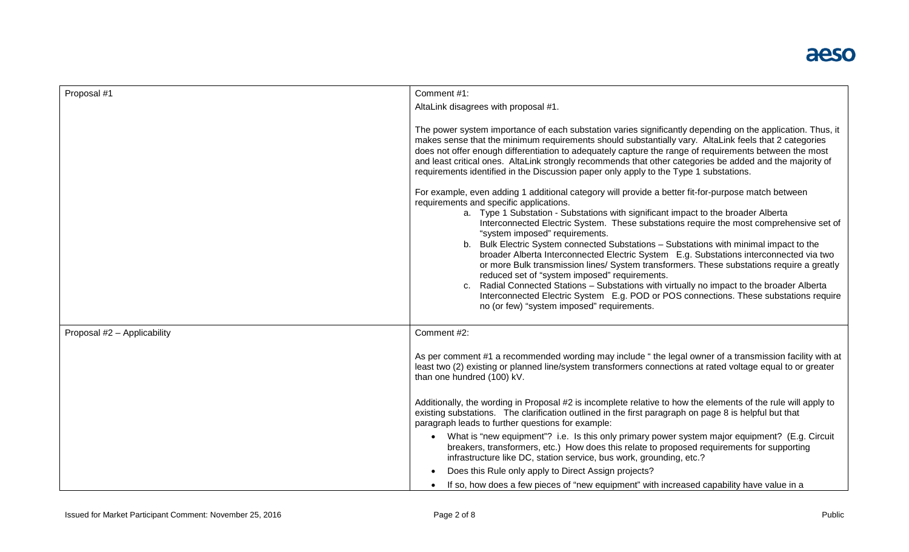| Proposal #1                 | Comment #1:                                                                                                                                                                                                                                                                                                                                                                                                                                                                                                                                                                                                                                                                                                                                                                                                                                                                                                                                                                                                                                                                                                                                                                                                                                                                                                                                                                                                                                                                  |
|-----------------------------|------------------------------------------------------------------------------------------------------------------------------------------------------------------------------------------------------------------------------------------------------------------------------------------------------------------------------------------------------------------------------------------------------------------------------------------------------------------------------------------------------------------------------------------------------------------------------------------------------------------------------------------------------------------------------------------------------------------------------------------------------------------------------------------------------------------------------------------------------------------------------------------------------------------------------------------------------------------------------------------------------------------------------------------------------------------------------------------------------------------------------------------------------------------------------------------------------------------------------------------------------------------------------------------------------------------------------------------------------------------------------------------------------------------------------------------------------------------------------|
|                             | AltaLink disagrees with proposal #1.                                                                                                                                                                                                                                                                                                                                                                                                                                                                                                                                                                                                                                                                                                                                                                                                                                                                                                                                                                                                                                                                                                                                                                                                                                                                                                                                                                                                                                         |
|                             | The power system importance of each substation varies significantly depending on the application. Thus, it<br>makes sense that the minimum requirements should substantially vary. AltaLink feels that 2 categories<br>does not offer enough differentiation to adequately capture the range of requirements between the most<br>and least critical ones. AltaLink strongly recommends that other categories be added and the majority of<br>requirements identified in the Discussion paper only apply to the Type 1 substations.<br>For example, even adding 1 additional category will provide a better fit-for-purpose match between<br>requirements and specific applications.<br>a. Type 1 Substation - Substations with significant impact to the broader Alberta<br>Interconnected Electric System. These substations require the most comprehensive set of<br>"system imposed" requirements.<br>b. Bulk Electric System connected Substations - Substations with minimal impact to the<br>broader Alberta Interconnected Electric System E.g. Substations interconnected via two<br>or more Bulk transmission lines/ System transformers. These substations require a greatly<br>reduced set of "system imposed" requirements.<br>c. Radial Connected Stations - Substations with virtually no impact to the broader Alberta<br>Interconnected Electric System E.g. POD or POS connections. These substations require<br>no (or few) "system imposed" requirements. |
| Proposal #2 - Applicability | Comment #2:                                                                                                                                                                                                                                                                                                                                                                                                                                                                                                                                                                                                                                                                                                                                                                                                                                                                                                                                                                                                                                                                                                                                                                                                                                                                                                                                                                                                                                                                  |
|                             |                                                                                                                                                                                                                                                                                                                                                                                                                                                                                                                                                                                                                                                                                                                                                                                                                                                                                                                                                                                                                                                                                                                                                                                                                                                                                                                                                                                                                                                                              |
|                             | As per comment #1 a recommended wording may include " the legal owner of a transmission facility with at<br>least two (2) existing or planned line/system transformers connections at rated voltage equal to or greater<br>than one hundred (100) kV.                                                                                                                                                                                                                                                                                                                                                                                                                                                                                                                                                                                                                                                                                                                                                                                                                                                                                                                                                                                                                                                                                                                                                                                                                        |
|                             | Additionally, the wording in Proposal #2 is incomplete relative to how the elements of the rule will apply to<br>existing substations. The clarification outlined in the first paragraph on page 8 is helpful but that<br>paragraph leads to further questions for example:                                                                                                                                                                                                                                                                                                                                                                                                                                                                                                                                                                                                                                                                                                                                                                                                                                                                                                                                                                                                                                                                                                                                                                                                  |
|                             | • What is "new equipment"? i.e. Is this only primary power system major equipment? (E.g. Circuit<br>breakers, transformers, etc.) How does this relate to proposed requirements for supporting<br>infrastructure like DC, station service, bus work, grounding, etc.?                                                                                                                                                                                                                                                                                                                                                                                                                                                                                                                                                                                                                                                                                                                                                                                                                                                                                                                                                                                                                                                                                                                                                                                                        |
|                             | Does this Rule only apply to Direct Assign projects?                                                                                                                                                                                                                                                                                                                                                                                                                                                                                                                                                                                                                                                                                                                                                                                                                                                                                                                                                                                                                                                                                                                                                                                                                                                                                                                                                                                                                         |
|                             | If so, how does a few pieces of "new equipment" with increased capability have value in a                                                                                                                                                                                                                                                                                                                                                                                                                                                                                                                                                                                                                                                                                                                                                                                                                                                                                                                                                                                                                                                                                                                                                                                                                                                                                                                                                                                    |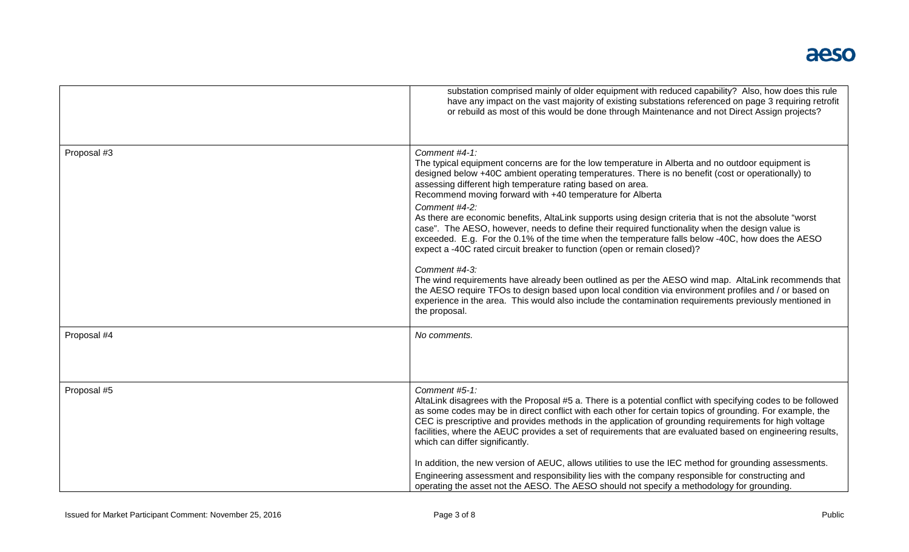|             | substation comprised mainly of older equipment with reduced capability? Also, how does this rule<br>have any impact on the vast majority of existing substations referenced on page 3 requiring retrofit<br>or rebuild as most of this would be done through Maintenance and not Direct Assign projects?                                                                                                                                                                                               |
|-------------|--------------------------------------------------------------------------------------------------------------------------------------------------------------------------------------------------------------------------------------------------------------------------------------------------------------------------------------------------------------------------------------------------------------------------------------------------------------------------------------------------------|
| Proposal #3 | Comment #4-1:<br>The typical equipment concerns are for the low temperature in Alberta and no outdoor equipment is<br>designed below +40C ambient operating temperatures. There is no benefit (cost or operationally) to<br>assessing different high temperature rating based on area.<br>Recommend moving forward with +40 temperature for Alberta                                                                                                                                                    |
|             | Comment #4-2:<br>As there are economic benefits, AltaLink supports using design criteria that is not the absolute "worst<br>case". The AESO, however, needs to define their required functionality when the design value is<br>exceeded. E.g. For the 0.1% of the time when the temperature falls below -40C, how does the AESO<br>expect a -40C rated circuit breaker to function (open or remain closed)?                                                                                            |
|             | Comment #4-3:<br>The wind requirements have already been outlined as per the AESO wind map. AltaLink recommends that<br>the AESO require TFOs to design based upon local condition via environment profiles and / or based on<br>experience in the area. This would also include the contamination requirements previously mentioned in<br>the proposal.                                                                                                                                               |
| Proposal #4 | No comments.                                                                                                                                                                                                                                                                                                                                                                                                                                                                                           |
| Proposal #5 | Comment #5-1:<br>AltaLink disagrees with the Proposal #5 a. There is a potential conflict with specifying codes to be followed<br>as some codes may be in direct conflict with each other for certain topics of grounding. For example, the<br>CEC is prescriptive and provides methods in the application of grounding requirements for high voltage<br>facilities, where the AEUC provides a set of requirements that are evaluated based on engineering results,<br>which can differ significantly. |
|             | In addition, the new version of AEUC, allows utilities to use the IEC method for grounding assessments.<br>Engineering assessment and responsibility lies with the company responsible for constructing and<br>operating the asset not the AESO. The AESO should not specify a methodology for grounding.                                                                                                                                                                                              |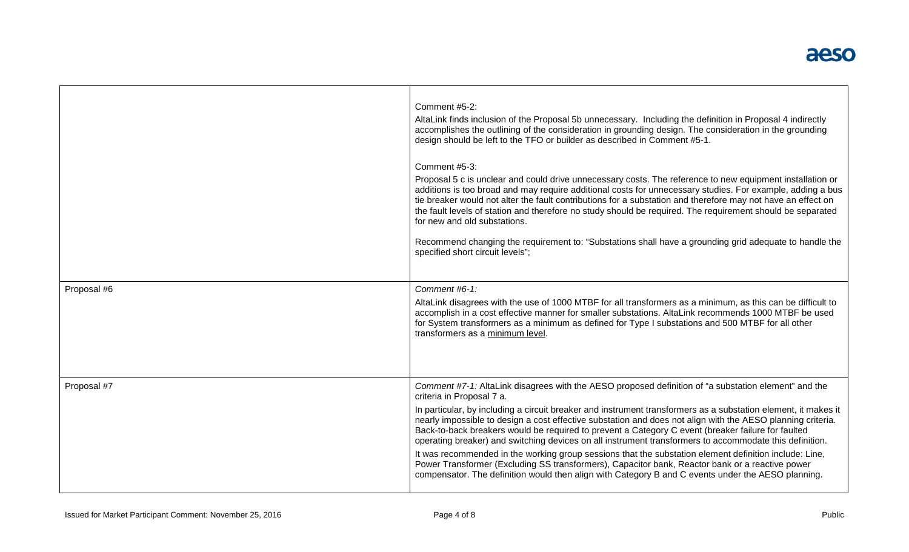|             | Comment #5-2:<br>AltaLink finds inclusion of the Proposal 5b unnecessary. Including the definition in Proposal 4 indirectly<br>accomplishes the outlining of the consideration in grounding design. The consideration in the grounding<br>design should be left to the TFO or builder as described in Comment #5-1.<br>Comment #5-3:<br>Proposal 5 c is unclear and could drive unnecessary costs. The reference to new equipment installation or<br>additions is too broad and may require additional costs for unnecessary studies. For example, adding a bus<br>tie breaker would not alter the fault contributions for a substation and therefore may not have an effect on<br>the fault levels of station and therefore no study should be required. The requirement should be separated<br>for new and old substations.<br>Recommend changing the requirement to: "Substations shall have a grounding grid adequate to handle the<br>specified short circuit levels"; |
|-------------|-----------------------------------------------------------------------------------------------------------------------------------------------------------------------------------------------------------------------------------------------------------------------------------------------------------------------------------------------------------------------------------------------------------------------------------------------------------------------------------------------------------------------------------------------------------------------------------------------------------------------------------------------------------------------------------------------------------------------------------------------------------------------------------------------------------------------------------------------------------------------------------------------------------------------------------------------------------------------------|
| Proposal #6 | Comment #6-1:<br>AltaLink disagrees with the use of 1000 MTBF for all transformers as a minimum, as this can be difficult to<br>accomplish in a cost effective manner for smaller substations. AltaLink recommends 1000 MTBF be used<br>for System transformers as a minimum as defined for Type I substations and 500 MTBF for all other<br>transformers as a minimum level.                                                                                                                                                                                                                                                                                                                                                                                                                                                                                                                                                                                               |
| Proposal #7 | Comment #7-1: AltaLink disagrees with the AESO proposed definition of "a substation element" and the<br>criteria in Proposal 7 a.<br>In particular, by including a circuit breaker and instrument transformers as a substation element, it makes it<br>nearly impossible to design a cost effective substation and does not align with the AESO planning criteria.<br>Back-to-back breakers would be required to prevent a Category C event (breaker failure for faulted<br>operating breaker) and switching devices on all instrument transformers to accommodate this definition.<br>It was recommended in the working group sessions that the substation element definition include: Line,<br>Power Transformer (Excluding SS transformers), Capacitor bank, Reactor bank or a reactive power<br>compensator. The definition would then align with Category B and C events under the AESO planning.                                                                      |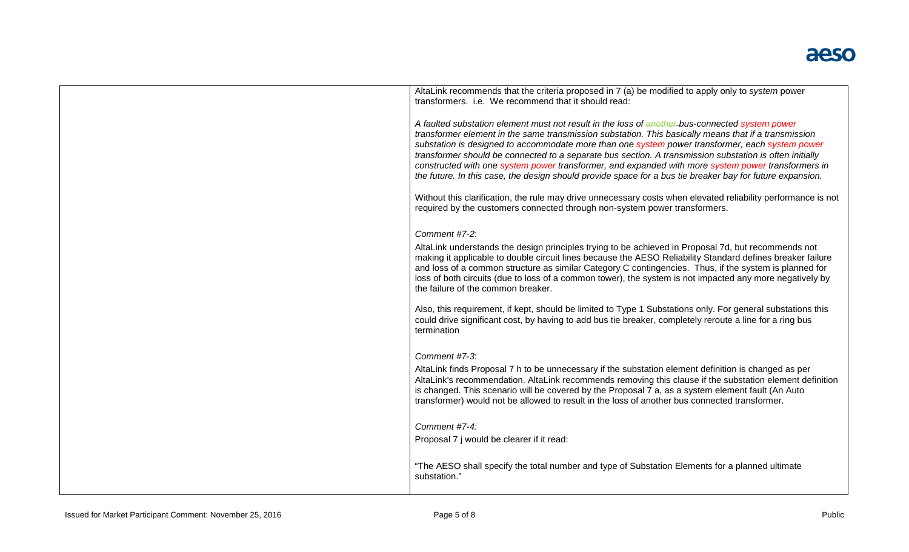| AltaLink recommends that the criteria proposed in 7 (a) be modified to apply only to system power<br>transformers. i.e. We recommend that it should read:                                                                                                                                                                                                                                                                                                                                                                                                                                                                               |
|-----------------------------------------------------------------------------------------------------------------------------------------------------------------------------------------------------------------------------------------------------------------------------------------------------------------------------------------------------------------------------------------------------------------------------------------------------------------------------------------------------------------------------------------------------------------------------------------------------------------------------------------|
| A faulted substation element must not result in the loss of another-bus-connected system power<br>transformer element in the same transmission substation. This basically means that if a transmission<br>substation is designed to accommodate more than one system power transformer, each system power<br>transformer should be connected to a separate bus section. A transmission substation is often initially<br>constructed with one system power transformer, and expanded with more system power transformers in<br>the future. In this case, the design should provide space for a bus tie breaker bay for future expansion. |
| Without this clarification, the rule may drive unnecessary costs when elevated reliability performance is not<br>required by the customers connected through non-system power transformers.                                                                                                                                                                                                                                                                                                                                                                                                                                             |
| Comment #7-2:                                                                                                                                                                                                                                                                                                                                                                                                                                                                                                                                                                                                                           |
| AltaLink understands the design principles trying to be achieved in Proposal 7d, but recommends not<br>making it applicable to double circuit lines because the AESO Reliability Standard defines breaker failure<br>and loss of a common structure as similar Category C contingencies. Thus, if the system is planned for<br>loss of both circuits (due to loss of a common tower), the system is not impacted any more negatively by<br>the failure of the common breaker.                                                                                                                                                           |
| Also, this requirement, if kept, should be limited to Type 1 Substations only. For general substations this<br>could drive significant cost, by having to add bus tie breaker, completely reroute a line for a ring bus<br>termination                                                                                                                                                                                                                                                                                                                                                                                                  |
| Comment #7-3:                                                                                                                                                                                                                                                                                                                                                                                                                                                                                                                                                                                                                           |
| AltaLink finds Proposal 7 h to be unnecessary if the substation element definition is changed as per<br>AltaLink's recommendation. AltaLink recommends removing this clause if the substation element definition<br>is changed. This scenario will be covered by the Proposal 7 a, as a system element fault (An Auto<br>transformer) would not be allowed to result in the loss of another bus connected transformer.                                                                                                                                                                                                                  |
| Comment #7-4:                                                                                                                                                                                                                                                                                                                                                                                                                                                                                                                                                                                                                           |
| Proposal 7 j would be clearer if it read:                                                                                                                                                                                                                                                                                                                                                                                                                                                                                                                                                                                               |
| "The AESO shall specify the total number and type of Substation Elements for a planned ultimate<br>substation."                                                                                                                                                                                                                                                                                                                                                                                                                                                                                                                         |
|                                                                                                                                                                                                                                                                                                                                                                                                                                                                                                                                                                                                                                         |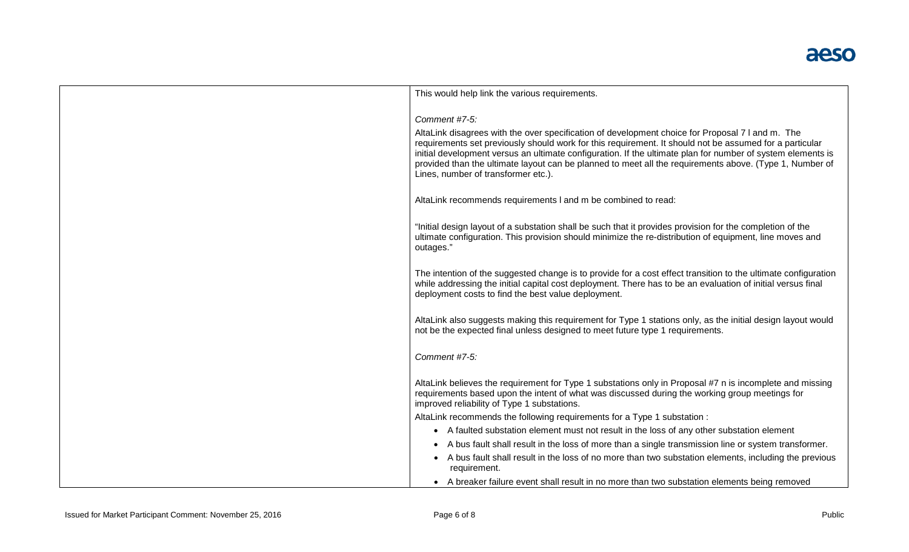| This would help link the various requirements.                                                                                                                                                                                                                                                                                                                                                                                                                               |
|------------------------------------------------------------------------------------------------------------------------------------------------------------------------------------------------------------------------------------------------------------------------------------------------------------------------------------------------------------------------------------------------------------------------------------------------------------------------------|
|                                                                                                                                                                                                                                                                                                                                                                                                                                                                              |
| Comment #7-5:                                                                                                                                                                                                                                                                                                                                                                                                                                                                |
| AltaLink disagrees with the over specification of development choice for Proposal 7 I and m. The<br>requirements set previously should work for this requirement. It should not be assumed for a particular<br>initial development versus an ultimate configuration. If the ultimate plan for number of system elements is<br>provided than the ultimate layout can be planned to meet all the requirements above. (Type 1, Number of<br>Lines, number of transformer etc.). |
| AltaLink recommends requirements I and m be combined to read:                                                                                                                                                                                                                                                                                                                                                                                                                |
|                                                                                                                                                                                                                                                                                                                                                                                                                                                                              |
| "Initial design layout of a substation shall be such that it provides provision for the completion of the<br>ultimate configuration. This provision should minimize the re-distribution of equipment, line moves and<br>outages."                                                                                                                                                                                                                                            |
| The intention of the suggested change is to provide for a cost effect transition to the ultimate configuration<br>while addressing the initial capital cost deployment. There has to be an evaluation of initial versus final<br>deployment costs to find the best value deployment.                                                                                                                                                                                         |
| AltaLink also suggests making this requirement for Type 1 stations only, as the initial design layout would<br>not be the expected final unless designed to meet future type 1 requirements.                                                                                                                                                                                                                                                                                 |
| Comment #7-5:                                                                                                                                                                                                                                                                                                                                                                                                                                                                |
| AltaLink believes the requirement for Type 1 substations only in Proposal #7 n is incomplete and missing<br>requirements based upon the intent of what was discussed during the working group meetings for<br>improved reliability of Type 1 substations.                                                                                                                                                                                                                    |
| AltaLink recommends the following requirements for a Type 1 substation :                                                                                                                                                                                                                                                                                                                                                                                                     |
| • A faulted substation element must not result in the loss of any other substation element                                                                                                                                                                                                                                                                                                                                                                                   |
| • A bus fault shall result in the loss of more than a single transmission line or system transformer.                                                                                                                                                                                                                                                                                                                                                                        |
| • A bus fault shall result in the loss of no more than two substation elements, including the previous                                                                                                                                                                                                                                                                                                                                                                       |
| requirement.                                                                                                                                                                                                                                                                                                                                                                                                                                                                 |
| • A breaker failure event shall result in no more than two substation elements being removed                                                                                                                                                                                                                                                                                                                                                                                 |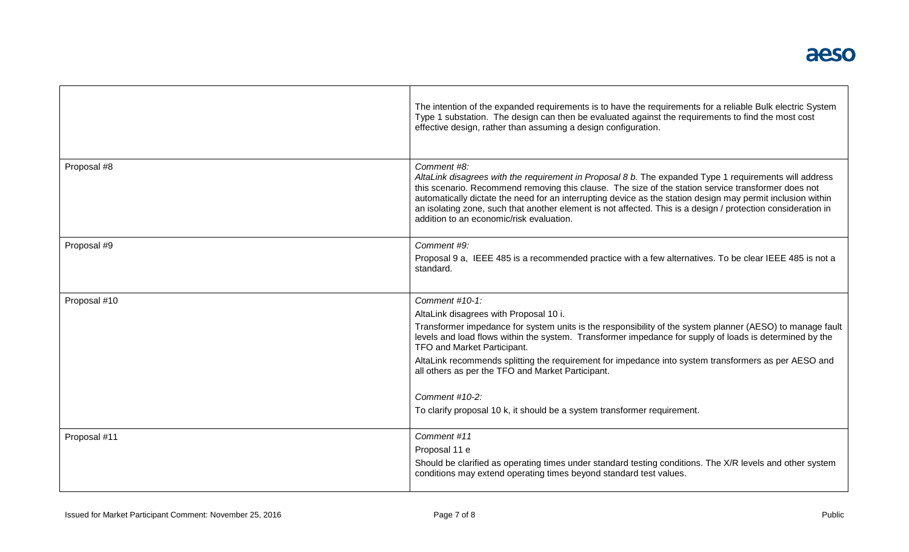|              | The intention of the expanded requirements is to have the requirements for a reliable Bulk electric System<br>Type 1 substation. The design can then be evaluated against the requirements to find the most cost<br>effective design, rather than assuming a design configuration.                                                                                                                                                                                                                                                                                         |
|--------------|----------------------------------------------------------------------------------------------------------------------------------------------------------------------------------------------------------------------------------------------------------------------------------------------------------------------------------------------------------------------------------------------------------------------------------------------------------------------------------------------------------------------------------------------------------------------------|
| Proposal #8  | Comment #8:<br>AltaLink disagrees with the requirement in Proposal 8 b. The expanded Type 1 requirements will address<br>this scenario. Recommend removing this clause. The size of the station service transformer does not<br>automatically dictate the need for an interrupting device as the station design may permit inclusion within<br>an isolating zone, such that another element is not affected. This is a design / protection consideration in<br>addition to an economic/risk evaluation.                                                                    |
| Proposal #9  | Comment #9:<br>Proposal 9 a, IEEE 485 is a recommended practice with a few alternatives. To be clear IEEE 485 is not a<br>standard.                                                                                                                                                                                                                                                                                                                                                                                                                                        |
| Proposal #10 | Comment #10-1:<br>AltaLink disagrees with Proposal 10 i.<br>Transformer impedance for system units is the responsibility of the system planner (AESO) to manage fault<br>levels and load flows within the system. Transformer impedance for supply of loads is determined by the<br>TFO and Market Participant.<br>AltaLink recommends splitting the requirement for impedance into system transformers as per AESO and<br>all others as per the TFO and Market Participant.<br>Comment #10-2:<br>To clarify proposal 10 k, it should be a system transformer requirement. |
| Proposal #11 | Comment #11<br>Proposal 11 e<br>Should be clarified as operating times under standard testing conditions. The X/R levels and other system<br>conditions may extend operating times beyond standard test values.                                                                                                                                                                                                                                                                                                                                                            |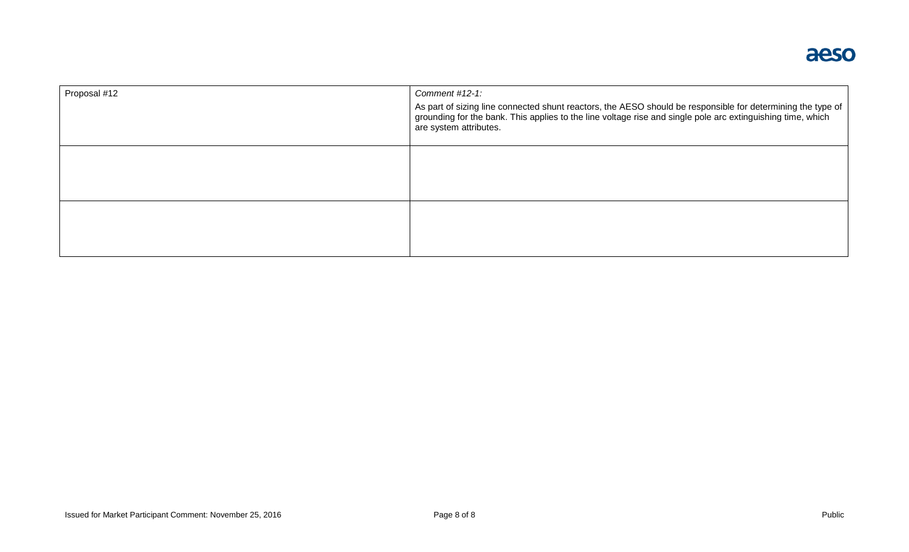| Proposal #12 | Comment #12-1:<br>As part of sizing line connected shunt reactors, the AESO should be responsible for determining the type of<br>grounding for the bank. This applies to the line voltage rise and single pole arc extinguishing time, which<br>are system attributes. |
|--------------|------------------------------------------------------------------------------------------------------------------------------------------------------------------------------------------------------------------------------------------------------------------------|
|              |                                                                                                                                                                                                                                                                        |
|              |                                                                                                                                                                                                                                                                        |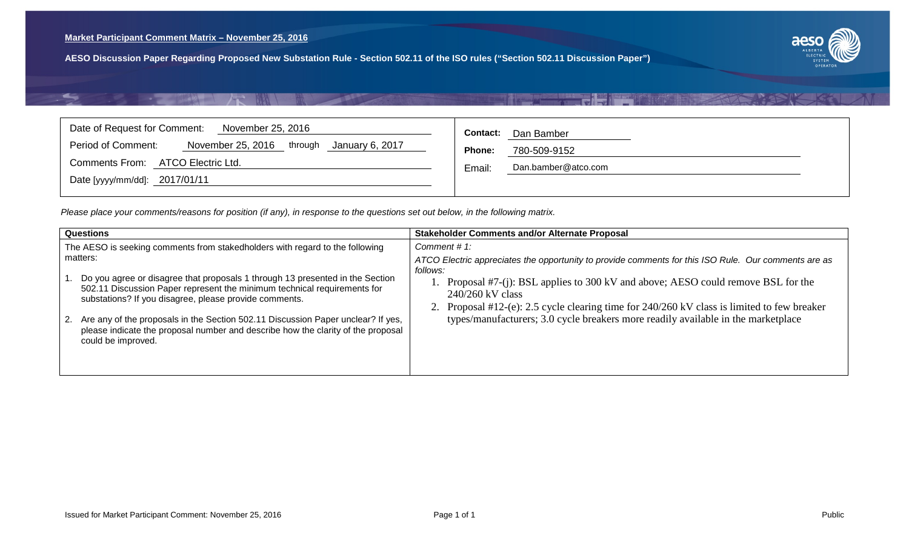

# TI TIRE

<span id="page-9-0"></span>

| Date of Request for Comment:                                          | Dan Bamber             |
|-----------------------------------------------------------------------|------------------------|
| November 25, 2016                                                     | <b>Contact:</b>        |
| Period of Comment:<br>November 25, 2016<br>through<br>January 6, 2017 | Phone:<br>780-509-9152 |
| ATCO Electric Ltd.                                                    | Dan.bamber@atco.com    |
| <b>Comments From:</b>                                                 | Email.                 |
| Date [yyyy/mm/dd]: 2017/01/11                                         |                        |

| Questions                                                                                                                                                                                                                                                                                                                                                                                                                                                                                                        | <b>Stakeholder Comments and/or Alternate Proposal</b>                                                                                                                                                                                                                                                                                                                                                                        |
|------------------------------------------------------------------------------------------------------------------------------------------------------------------------------------------------------------------------------------------------------------------------------------------------------------------------------------------------------------------------------------------------------------------------------------------------------------------------------------------------------------------|------------------------------------------------------------------------------------------------------------------------------------------------------------------------------------------------------------------------------------------------------------------------------------------------------------------------------------------------------------------------------------------------------------------------------|
| The AESO is seeking comments from stakedholders with regard to the following<br>matters:<br>Do you agree or disagree that proposals 1 through 13 presented in the Section<br>502.11 Discussion Paper represent the minimum technical requirements for<br>substations? If you disagree, please provide comments.<br>2. Are any of the proposals in the Section 502.11 Discussion Paper unclear? If yes,<br>please indicate the proposal number and describe how the clarity of the proposal<br>could be improved. | Comment #1:<br>ATCO Electric appreciates the opportunity to provide comments for this ISO Rule. Our comments are as<br>follows:<br>Proposal #7-(j): BSL applies to 300 kV and above; AESO could remove BSL for the<br>$240/260$ kV class<br>2. Proposal #12-(e): 2.5 cycle clearing time for 240/260 kV class is limited to few breaker<br>types/manufacturers; 3.0 cycle breakers more readily available in the marketplace |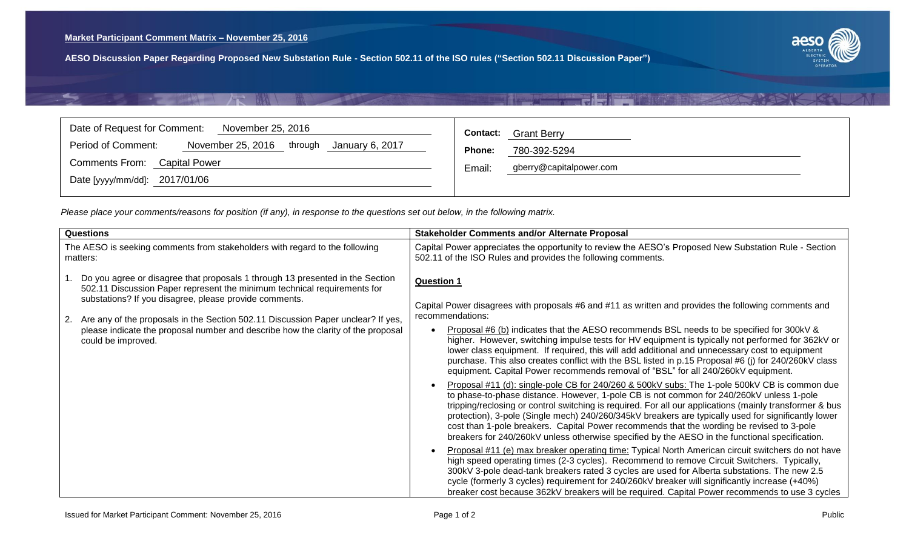

### T Filmer **CONTRACTOR**

<span id="page-10-0"></span>

| Date of Request for Comment:<br>November 25, 2016                     | <b>Grant Berry</b><br><b>Contact:</b> |
|-----------------------------------------------------------------------|---------------------------------------|
| Period of Comment:<br>November 25, 2016<br>through<br>January 6, 2017 | Phone:<br>780-392-5294                |
| Comments From: Capital Power                                          | gberry@capitalpower.com<br>Email:     |
| Date [yyyy/mm/dd]: 2017/01/06                                         |                                       |

| <b>Questions</b>                                                                                                                                                                                                    | <b>Stakeholder Comments and/or Alternate Proposal</b>                                                                                                                                                                                                                                                                                                                                                                                                                                                                                                                                                     |
|---------------------------------------------------------------------------------------------------------------------------------------------------------------------------------------------------------------------|-----------------------------------------------------------------------------------------------------------------------------------------------------------------------------------------------------------------------------------------------------------------------------------------------------------------------------------------------------------------------------------------------------------------------------------------------------------------------------------------------------------------------------------------------------------------------------------------------------------|
| The AESO is seeking comments from stakeholders with regard to the following<br>matters:                                                                                                                             | Capital Power appreciates the opportunity to review the AESO's Proposed New Substation Rule - Section<br>502.11 of the ISO Rules and provides the following comments.                                                                                                                                                                                                                                                                                                                                                                                                                                     |
| Do you agree or disagree that proposals 1 through 13 presented in the Section<br>502.11 Discussion Paper represent the minimum technical requirements for<br>substations? If you disagree, please provide comments. | <b>Question 1</b>                                                                                                                                                                                                                                                                                                                                                                                                                                                                                                                                                                                         |
| Are any of the proposals in the Section 502.11 Discussion Paper unclear? If yes,<br>2.                                                                                                                              | Capital Power disagrees with proposals #6 and #11 as written and provides the following comments and<br>recommendations:                                                                                                                                                                                                                                                                                                                                                                                                                                                                                  |
| please indicate the proposal number and describe how the clarity of the proposal<br>could be improved.                                                                                                              | Proposal #6 (b) indicates that the AESO recommends BSL needs to be specified for 300kV &<br>higher. However, switching impulse tests for HV equipment is typically not performed for 362kV or<br>lower class equipment. If required, this will add additional and unnecessary cost to equipment<br>purchase. This also creates conflict with the BSL listed in p.15 Proposal #6 (j) for 240/260kV class<br>equipment. Capital Power recommends removal of "BSL" for all 240/260kV equipment.                                                                                                              |
|                                                                                                                                                                                                                     | Proposal #11 (d): single-pole CB for 240/260 & 500kV subs: The 1-pole 500kV CB is common due<br>to phase-to-phase distance. However, 1-pole CB is not common for 240/260kV unless 1-pole<br>tripping/reclosing or control switching is required. For all our applications (mainly transformer & bus<br>protection), 3-pole (Single mech) 240/260/345kV breakers are typically used for significantly lower<br>cost than 1-pole breakers. Capital Power recommends that the wording be revised to 3-pole<br>breakers for 240/260kV unless otherwise specified by the AESO in the functional specification. |
|                                                                                                                                                                                                                     | Proposal #11 (e) max breaker operating time: Typical North American circuit switchers do not have<br>high speed operating times (2-3 cycles). Recommend to remove Circuit Switchers. Typically,<br>300kV 3-pole dead-tank breakers rated 3 cycles are used for Alberta substations. The new 2.5<br>cycle (formerly 3 cycles) requirement for 240/260kV breaker will significantly increase (+40%)<br>breaker cost because 362kV breakers will be required. Capital Power recommends to use 3 cycles                                                                                                       |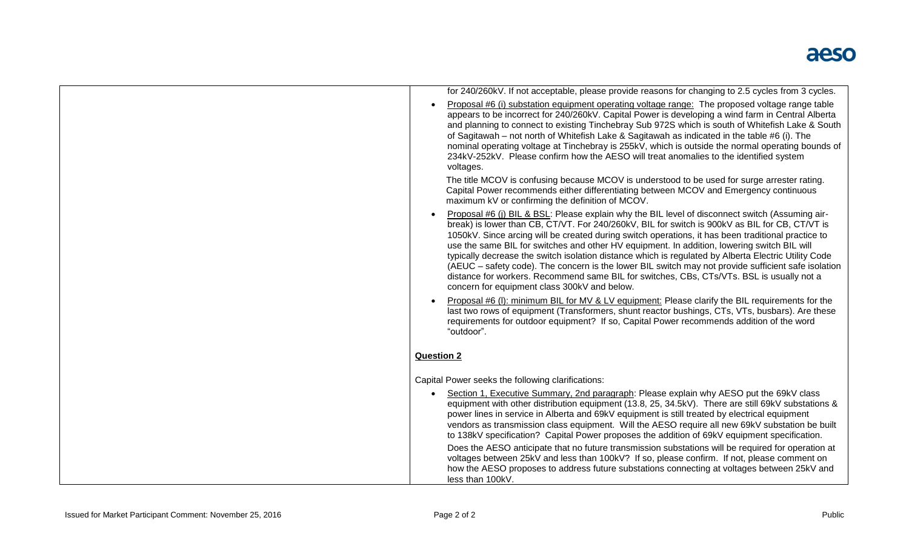| for 240/260kV. If not acceptable, please provide reasons for changing to 2.5 cycles from 3 cycles.                                                                                                                                                                                                                                                                                                                                                                                                                                                                                                                                                                                                                                                                                                                        |
|---------------------------------------------------------------------------------------------------------------------------------------------------------------------------------------------------------------------------------------------------------------------------------------------------------------------------------------------------------------------------------------------------------------------------------------------------------------------------------------------------------------------------------------------------------------------------------------------------------------------------------------------------------------------------------------------------------------------------------------------------------------------------------------------------------------------------|
| Proposal #6 (i) substation equipment operating voltage range: The proposed voltage range table<br>appears to be incorrect for 240/260kV. Capital Power is developing a wind farm in Central Alberta<br>and planning to connect to existing Tinchebray Sub 972S which is south of Whitefish Lake & South<br>of Sagitawah – not north of Whitefish Lake & Sagitawah as indicated in the table #6 (i). The<br>nominal operating voltage at Tinchebray is 255kV, which is outside the normal operating bounds of<br>234kV-252kV. Please confirm how the AESO will treat anomalies to the identified system<br>voltages.                                                                                                                                                                                                       |
| The title MCOV is confusing because MCOV is understood to be used for surge arrester rating.<br>Capital Power recommends either differentiating between MCOV and Emergency continuous<br>maximum kV or confirming the definition of MCOV.                                                                                                                                                                                                                                                                                                                                                                                                                                                                                                                                                                                 |
| Proposal #6 (j) BIL & BSL: Please explain why the BIL level of disconnect switch (Assuming air-<br>break) is lower than CB, CT/VT. For 240/260kV, BIL for switch is 900kV as BIL for CB, CT/VT is<br>1050kV. Since arcing will be created during switch operations, it has been traditional practice to<br>use the same BIL for switches and other HV equipment. In addition, lowering switch BIL will<br>typically decrease the switch isolation distance which is regulated by Alberta Electric Utility Code<br>(AEUC - safety code). The concern is the lower BIL switch may not provide sufficient safe isolation<br>distance for workers. Recommend same BIL for switches, CBs, CTs/VTs. BSL is usually not a<br>concern for equipment class 300kV and below.                                                        |
| Proposal #6 (I): minimum BIL for MV & LV equipment: Please clarify the BIL requirements for the<br>last two rows of equipment (Transformers, shunt reactor bushings, CTs, VTs, busbars). Are these<br>requirements for outdoor equipment? If so, Capital Power recommends addition of the word<br>"outdoor".                                                                                                                                                                                                                                                                                                                                                                                                                                                                                                              |
| <b>Question 2</b>                                                                                                                                                                                                                                                                                                                                                                                                                                                                                                                                                                                                                                                                                                                                                                                                         |
| Capital Power seeks the following clarifications:                                                                                                                                                                                                                                                                                                                                                                                                                                                                                                                                                                                                                                                                                                                                                                         |
| Section 1, Executive Summary, 2nd paragraph: Please explain why AESO put the 69kV class<br>equipment with other distribution equipment (13.8, 25, 34.5kV). There are still 69kV substations &<br>power lines in service in Alberta and 69kV equipment is still treated by electrical equipment<br>vendors as transmission class equipment. Will the AESO require all new 69kV substation be built<br>to 138kV specification? Capital Power proposes the addition of 69kV equipment specification.<br>Does the AESO anticipate that no future transmission substations will be required for operation at<br>voltages between 25kV and less than 100kV? If so, please confirm. If not, please comment on<br>how the AESO proposes to address future substations connecting at voltages between 25kV and<br>less than 100kV. |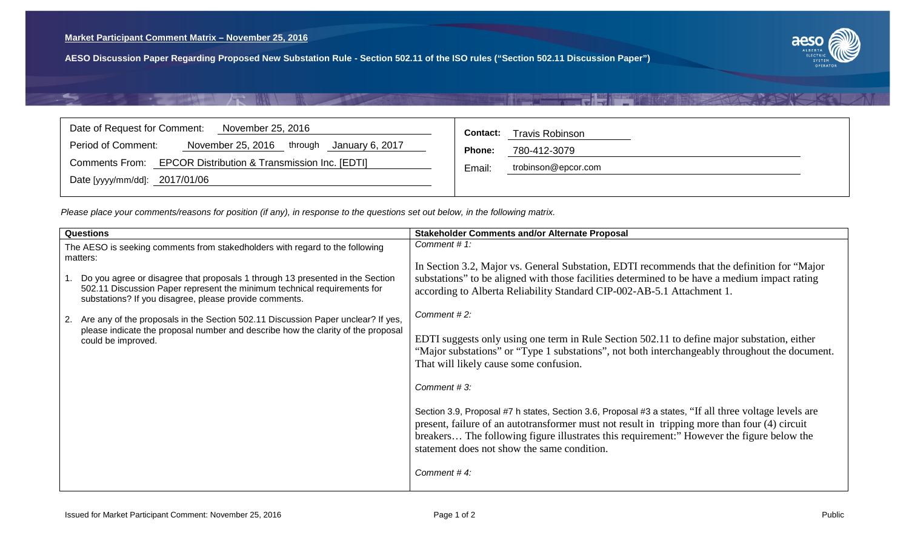<span id="page-12-0"></span>

| Date of Request for Comment:                                 | <b>Travis Robinson</b>        |
|--------------------------------------------------------------|-------------------------------|
| November 25, 2016                                            | Contact:                      |
| Period of Comment:                                           | <b>Phone:</b>                 |
| November 25, 2016 through January 6, 2017                    | 780-412-3079                  |
| Comments From: EPCOR Distribution & Transmission Inc. [EDTI] | Email:<br>trobinson@epcor.com |
| Date [yyyy/mm/dd]: 2017/01/06                                |                               |

|    | <b>Questions</b>                                                                                                                                                                                                    | <b>Stakeholder Comments and/or Alternate Proposal</b>                                                                                                                                                                                                                                                                                               |
|----|---------------------------------------------------------------------------------------------------------------------------------------------------------------------------------------------------------------------|-----------------------------------------------------------------------------------------------------------------------------------------------------------------------------------------------------------------------------------------------------------------------------------------------------------------------------------------------------|
|    | The AESO is seeking comments from stakedholders with regard to the following<br>matters:                                                                                                                            | Comment #1:<br>In Section 3.2, Major vs. General Substation, EDTI recommends that the definition for "Major"                                                                                                                                                                                                                                        |
|    | Do you agree or disagree that proposals 1 through 13 presented in the Section<br>502.11 Discussion Paper represent the minimum technical requirements for<br>substations? If you disagree, please provide comments. | substations" to be aligned with those facilities determined to be have a medium impact rating<br>according to Alberta Reliability Standard CIP-002-AB-5.1 Attachment 1.                                                                                                                                                                             |
| 2. | Are any of the proposals in the Section 502.11 Discussion Paper unclear? If yes,<br>please indicate the proposal number and describe how the clarity of the proposal<br>could be improved.                          | Comment #2:                                                                                                                                                                                                                                                                                                                                         |
|    |                                                                                                                                                                                                                     | EDTI suggests only using one term in Rule Section 502.11 to define major substation, either<br>"Major substations" or "Type 1 substations", not both interchangeably throughout the document.<br>That will likely cause some confusion.                                                                                                             |
|    |                                                                                                                                                                                                                     | Comment #3:                                                                                                                                                                                                                                                                                                                                         |
|    |                                                                                                                                                                                                                     | Section 3.9, Proposal #7 h states, Section 3.6, Proposal #3 a states, "If all three voltage levels are<br>present, failure of an autotransformer must not result in tripping more than four (4) circuit<br>breakers The following figure illustrates this requirement:" However the figure below the<br>statement does not show the same condition. |
|    |                                                                                                                                                                                                                     | Comment #4:                                                                                                                                                                                                                                                                                                                                         |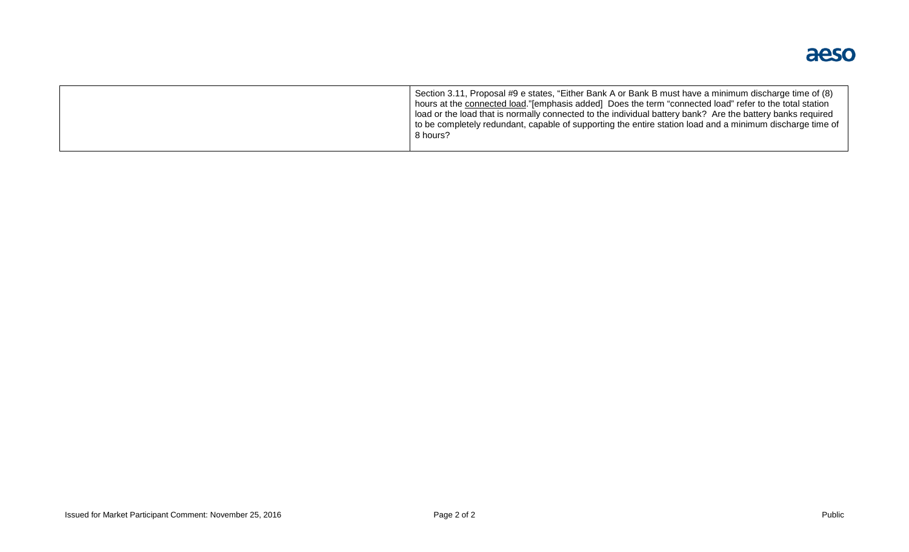

|  | Section 3.11, Proposal #9 e states, "Either Bank A or Bank B must have a minimum discharge time of (8)<br>hours at the connected load."[emphasis added] Does the term "connected load" refer to the total station<br>l load or the load that is normally connected to the individual battery bank? Are the battery banks required<br>to be completely redundant, capable of supporting the entire station load and a minimum discharge time of<br>8 hours? |
|--|------------------------------------------------------------------------------------------------------------------------------------------------------------------------------------------------------------------------------------------------------------------------------------------------------------------------------------------------------------------------------------------------------------------------------------------------------------|
|--|------------------------------------------------------------------------------------------------------------------------------------------------------------------------------------------------------------------------------------------------------------------------------------------------------------------------------------------------------------------------------------------------------------------------------------------------------------|